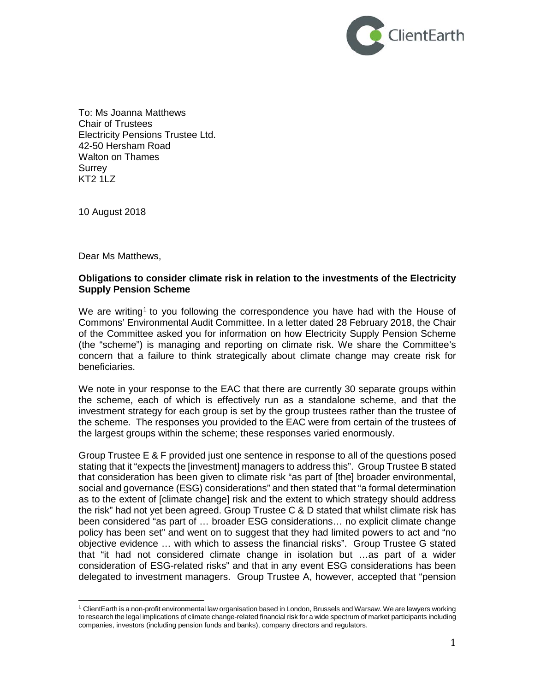

To: Ms Joanna Matthews Chair of Trustees Electricity Pensions Trustee Ltd. 42-50 Hersham Road Walton on Thames **Surrey** KT2 1LZ

10 August 2018

Dear Ms Matthews,

#### **Obligations to consider climate risk in relation to the investments of the Electricity Supply Pension Scheme**

We are writing<sup>[1](#page-0-0)</sup> to you following the correspondence you have had with the House of Commons' Environmental Audit Committee. In a letter dated 28 February 2018, the Chair of the Committee asked you for information on how Electricity Supply Pension Scheme (the "scheme") is managing and reporting on climate risk. We share the Committee's concern that a failure to think strategically about climate change may create risk for beneficiaries.

We note in your response to the EAC that there are currently 30 separate groups within the scheme, each of which is effectively run as a standalone scheme, and that the investment strategy for each group is set by the group trustees rather than the trustee of the scheme. The responses you provided to the EAC were from certain of the trustees of the largest groups within the scheme; these responses varied enormously.

Group Trustee E & F provided just one sentence in response to all of the questions posed stating that it "expects the [investment] managers to address this". Group Trustee B stated that consideration has been given to climate risk "as part of [the] broader environmental, social and governance (ESG) considerations" and then stated that "a formal determination as to the extent of [climate change] risk and the extent to which strategy should address the risk" had not yet been agreed. Group Trustee C & D stated that whilst climate risk has been considered "as part of … broader ESG considerations… no explicit climate change policy has been set" and went on to suggest that they had limited powers to act and "no objective evidence … with which to assess the financial risks". Group Trustee G stated that "it had not considered climate change in isolation but …as part of a wider consideration of ESG-related risks" and that in any event ESG considerations has been delegated to investment managers. Group Trustee A, however, accepted that "pension

<span id="page-0-0"></span><sup>1</sup> ClientEarth is a non-profit environmental law organisation based in London, Brussels and Warsaw. We are lawyers working to research the legal implications of climate change-related financial risk for a wide spectrum of market participants including companies, investors (including pension funds and banks), company directors and regulators.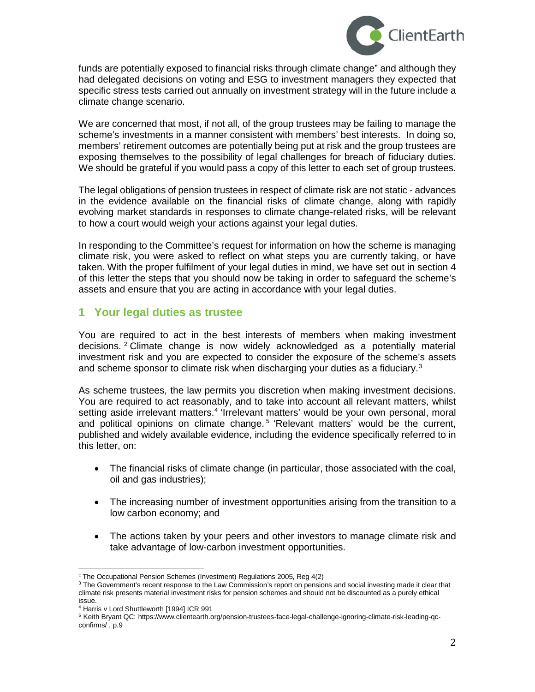

funds are potentially exposed to financial risks through climate change" and although they had delegated decisions on voting and ESG to investment managers they expected that specific stress tests carried out annually on investment strategy will in the future include a climate change scenario.

We are concerned that most, if not all, of the group trustees may be failing to manage the scheme's investments in a manner consistent with members' best interests. In doing so, members' retirement outcomes are potentially being put at risk and the group trustees are exposing themselves to the possibility of legal challenges for breach of fiduciary duties. We should be grateful if you would pass a copy of this letter to each set of group trustees.

The legal obligations of pension trustees in respect of climate risk are not static - advances in the evidence available on the financial risks of climate change, along with rapidly evolving market standards in responses to climate change-related risks, will be relevant to how a court would weigh your actions against your legal duties.

In responding to the Committee's request for information on how the scheme is managing climate risk, you were asked to reflect on what steps you are currently taking, or have taken. With the proper fulfilment of your legal duties in mind, we have set out in section 4 of this letter the steps that you should now be taking in order to safeguard the scheme's assets and ensure that you are acting in accordance with your legal duties.

# **1 Your legal duties as trustee**

You are required to act in the best interests of members when making investment decisions. [2](#page-1-0) Climate change is now widely acknowledged as a potentially material investment risk and you are expected to consider the exposure of the scheme's assets and scheme sponsor to climate risk when discharging your duties as a fiduciary.<sup>[3](#page-1-1)</sup>

As scheme trustees, the law permits you discretion when making investment decisions. You are required to act reasonably, and to take into account all relevant matters, whilst setting aside irrelevant matters.<sup>[4](#page-1-2)</sup> 'Irrelevant matters' would be your own personal, moral and political opinions on climate change.<sup>[5](#page-1-3)</sup> 'Relevant matters' would be the current, published and widely available evidence, including the evidence specifically referred to in this letter, on:

- The financial risks of climate change (in particular, those associated with the coal, oil and gas industries);
- The increasing number of investment opportunities arising from the transition to a low carbon economy; and
- The actions taken by your peers and other investors to manage climate risk and take advantage of low-carbon investment opportunities.

 <sup>2</sup> The Occupational Pension Schemes (Investment) Regulations 2005, Reg 4(2)

<span id="page-1-1"></span><span id="page-1-0"></span><sup>&</sup>lt;sup>3</sup> The Government's recent response to the Law Commission's report on pensions and social investing made it clear that climate risk presents material investment risks for pension schemes and should not be discounted as a purely ethical issue.

<sup>4</sup> Harris v Lord Shuttleworth [1994] ICR 991

<span id="page-1-3"></span><span id="page-1-2"></span><sup>5</sup> Keith Bryant QC: https://www.clientearth.org/pension-trustees-face-legal-challenge-ignoring-climate-risk-leading-qcconfirms/ , p.9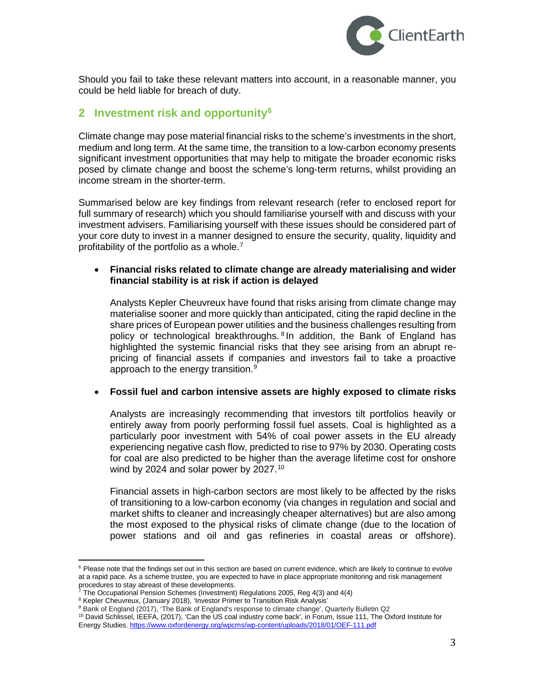

Should you fail to take these relevant matters into account, in a reasonable manner, you could be held liable for breach of duty.

### **2 Investment risk and opportunit[y6](#page-2-0)**

Climate change may pose material financial risks to the scheme's investments in the short, medium and long term. At the same time, the transition to a low-carbon economy presents significant investment opportunities that may help to mitigate the broader economic risks posed by climate change and boost the scheme's long-term returns, whilst providing an income stream in the shorter-term.

Summarised below are key findings from relevant research (refer to enclosed report for full summary of research) which you should familiarise yourself with and discuss with your investment advisers. Familiarising yourself with these issues should be considered part of your core duty to invest in a manner designed to ensure the security, quality, liquidity and profitability of the portfolio as a whole.<sup>[7](#page-2-1)</sup>

#### • **Financial risks related to climate change are already materialising and wider financial stability is at risk if action is delayed**

Analysts Kepler Cheuvreux have found that risks arising from climate change may materialise sooner and more quickly than anticipated, citing the rapid decline in the share prices of European power utilities and the business challenges resulting from policy or technological breakthroughs.<sup>[8](#page-2-2)</sup> In addition, the Bank of England has highlighted the systemic financial risks that they see arising from an abrupt repricing of financial assets if companies and investors fail to take a proactive approach to the energy transition.<sup>[9](#page-2-3)</sup>

#### • **Fossil fuel and carbon intensive assets are highly exposed to climate risks**

Analysts are increasingly recommending that investors tilt portfolios heavily or entirely away from poorly performing fossil fuel assets. Coal is highlighted as a particularly poor investment with 54% of coal power assets in the EU already experiencing negative cash flow, predicted to rise to 97% by 2030. Operating costs for coal are also predicted to be higher than the average lifetime cost for onshore wind by 2024 and solar power by 2027. $10$ 

Financial assets in high-carbon sectors are most likely to be affected by the risks of transitioning to a low-carbon economy (via changes in regulation and social and market shifts to cleaner and increasingly cheaper alternatives) but are also among the most exposed to the physical risks of climate change (due to the location of power stations and oil and gas refineries in coastal areas or offshore).

<span id="page-2-0"></span><sup>&</sup>lt;sup>6</sup> Please note that the findings set out in this section are based on current evidence, which are likely to continue to evolve at a rapid pace. As a scheme trustee, you are expected to have in place appropriate monitoring and risk management procedures to stay abreast of these developments.

<span id="page-2-1"></span> $7$  The Occupational Pension Schemes (Investment) Regulations 2005, Reg 4(3) and 4(4)

<sup>&</sup>lt;sup>8</sup> Kepler Cheuvreux, (January 2018), 'Investor Primer to Transition Risk Analysis'

<span id="page-2-3"></span><span id="page-2-2"></span><sup>9</sup> Bank of England (2017), 'The Bank of England's response to climate change', Quarterly Bulletin Q2

<span id="page-2-4"></span><sup>&</sup>lt;sup>10</sup> David Schlissel, IEEFA, (2017), 'Can the US coal industry come back', in Forum, Issue 111, The Oxford Institute for Energy Studies[. https://www.oxfordenergy.org/wpcms/wp-content/uploads/2018/01/OEF-111.pdf](https://www.oxfordenergy.org/wpcms/wp-content/uploads/2018/01/OEF-111.pdf)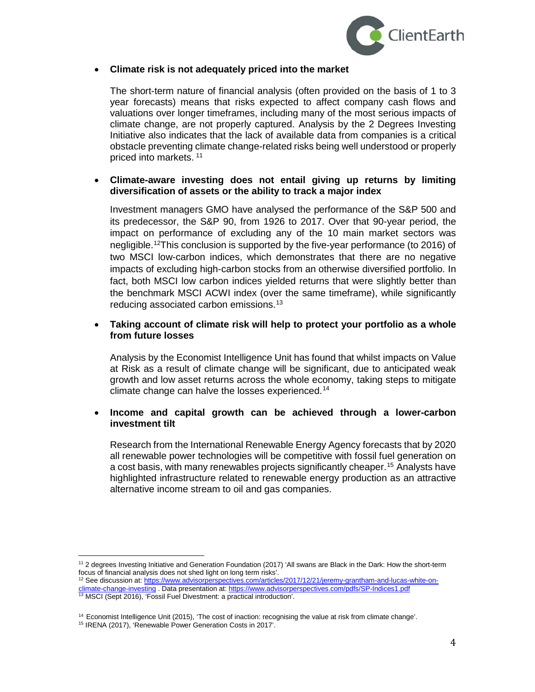

#### • **Climate risk is not adequately priced into the market**

The short-term nature of financial analysis (often provided on the basis of 1 to 3 year forecasts) means that risks expected to affect company cash flows and valuations over longer timeframes, including many of the most serious impacts of climate change, are not properly captured. Analysis by the 2 Degrees Investing Initiative also indicates that the lack of available data from companies is a critical obstacle preventing climate change-related risks being well understood or properly priced into markets. [11](#page-3-0)

#### • **Climate-aware investing does not entail giving up returns by limiting diversification of assets or the ability to track a major index**

Investment managers GMO have analysed the performance of the S&P 500 and its predecessor, the S&P 90, from 1926 to 2017. Over that 90-year period, the impact on performance of excluding any of the 10 main market sectors was negligible.<sup>12</sup>This conclusion is supported by the five-year performance (to 2016) of two MSCI low-carbon indices, which demonstrates that there are no negative impacts of excluding high-carbon stocks from an otherwise diversified portfolio. In fact, both MSCI low carbon indices yielded returns that were slightly better than the benchmark MSCI ACWI index (over the same timeframe), while significantly reducing associated carbon emissions.[13](#page-3-2)

#### • **Taking account of climate risk will help to protect your portfolio as a whole from future losses**

Analysis by the Economist Intelligence Unit has found that whilst impacts on Value at Risk as a result of climate change will be significant, due to anticipated weak growth and low asset returns across the whole economy, taking steps to mitigate climate change can halve the losses experienced.<sup>[14](#page-3-3)</sup>

#### • **Income and capital growth can be achieved through a lower-carbon investment tilt**

Research from the International Renewable Energy Agency forecasts that by 2020 all renewable power technologies will be competitive with fossil fuel generation on a cost basis, with many renewables projects significantly cheaper.<sup>[15](#page-3-4)</sup> Analysts have highlighted infrastructure related to renewable energy production as an attractive alternative income stream to oil and gas companies.

<span id="page-3-0"></span><sup>11</sup> 2 degrees Investing Initiative and Generation Foundation (2017) 'All swans are Black in the Dark: How the short-term focus of financial analysis does not shed light on long term risks'.

<sup>&</sup>lt;sup>12</sup> See discussion at: [https://www.advisorperspectives.com/articles/2017/12/21/jeremy-grantham-and-lucas-white-on-](https://www.advisorperspectives.com/articles/2017/12/21/jeremy-grantham-and-lucas-white-on-climate-change-investing)limate-change-investing . Data presentation at[: https://www.advisorperspectives.com/pdfs/SP-Indices1.pdf](https://www.advisorperspectives.com/pdfs/SP-Indices1.pdf)

<span id="page-3-2"></span><span id="page-3-1"></span><sup>13</sup> MSCI (Sept 2016), 'Fossil Fuel Divestment: a practical introduction'.

<span id="page-3-3"></span><sup>&</sup>lt;sup>14</sup> Economist Intelligence Unit (2015), 'The cost of inaction: recognising the value at risk from climate change'.

<span id="page-3-4"></span><sup>15</sup> IRENA (2017), 'Renewable Power Generation Costs in 2017'.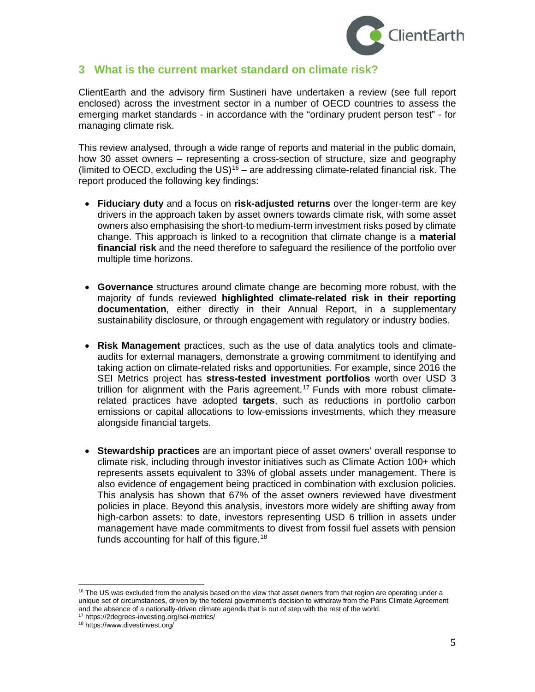

### **3 What is the current market standard on climate risk?**

ClientEarth and the advisory firm Sustineri have undertaken a review (see full report enclosed) across the investment sector in a number of OECD countries to assess the emerging market standards - in accordance with the "ordinary prudent person test" - for managing climate risk.

This review analysed, through a wide range of reports and material in the public domain, how 30 asset owners – representing a cross-section of structure, size and geography (limited to OECD, excluding the US)<sup>[16](#page-4-0)</sup> – are addressing climate-related financial risk. The report produced the following key findings:

- **Fiduciary duty** and a focus on **risk-adjusted returns** over the longer-term are key drivers in the approach taken by asset owners towards climate risk, with some asset owners also emphasising the short-to medium-term investment risks posed by climate change. This approach is linked to a recognition that climate change is a **material financial risk** and the need therefore to safeguard the resilience of the portfolio over multiple time horizons.
- **Governance** structures around climate change are becoming more robust, with the majority of funds reviewed **highlighted climate-related risk in their reporting documentation**, either directly in their Annual Report, in a supplementary sustainability disclosure, or through engagement with regulatory or industry bodies.
- **Risk Management** practices, such as the use of data analytics tools and climateaudits for external managers, demonstrate a growing commitment to identifying and taking action on climate-related risks and opportunities. For example, since 2016 the SEI Metrics project has **stress-tested investment portfolios** worth over USD 3 trillion for alignment with the Paris agreement.<sup>[17](#page-4-1)</sup> Funds with more robust climaterelated practices have adopted **targets**, such as reductions in portfolio carbon emissions or capital allocations to low-emissions investments, which they measure alongside financial targets.
- **Stewardship practices** are an important piece of asset owners' overall response to climate risk, including through investor initiatives such as Climate Action 100+ which represents assets equivalent to 33% of global assets under management. There is also evidence of engagement being practiced in combination with exclusion policies. This analysis has shown that 67% of the asset owners reviewed have divestment policies in place. Beyond this analysis, investors more widely are shifting away from high-carbon assets: to date, investors representing USD 6 trillion in assets under management have made commitments to divest from fossil fuel assets with pension funds accounting for half of this figure.<sup>[18](#page-4-2)</sup>

<span id="page-4-0"></span><sup>&</sup>lt;sup>16</sup> The US was excluded from the analysis based on the view that asset owners from that region are operating under a unique set of circumstances, driven by the federal government's decision to withdraw from the Paris Climate Agreement and the absence of a nationally-driven climate agenda that is out of step with the rest of the world.

<span id="page-4-2"></span><span id="page-4-1"></span><sup>17</sup> https://2degrees-investing.org/sei-metrics/

<sup>18</sup> https://www.divestinvest.org/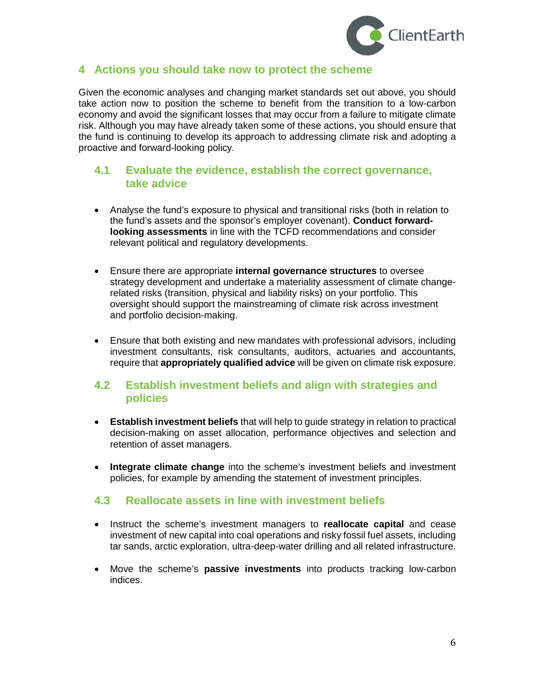

# **4 Actions you should take now to protect the scheme**

Given the economic analyses and changing market standards set out above, you should take action now to position the scheme to benefit from the transition to a low-carbon economy and avoid the significant losses that may occur from a failure to mitigate climate risk. Although you may have already taken some of these actions, you should ensure that the fund is continuing to develop its approach to addressing climate risk and adopting a proactive and forward-looking policy.

### **4.1 Evaluate the evidence, establish the correct governance, take advice**

- Analyse the fund's exposure to physical and transitional risks (both in relation to the fund's assets and the sponsor's employer covenant). **Conduct forwardlooking assessments** in line with the TCFD recommendations and consider relevant political and regulatory developments.
- Ensure there are appropriate **internal governance structures** to oversee strategy development and undertake a materiality assessment of climate changerelated risks (transition, physical and liability risks) on your portfolio. This oversight should support the mainstreaming of climate risk across investment and portfolio decision-making.
- Ensure that both existing and new mandates with professional advisors, including investment consultants, risk consultants, auditors, actuaries and accountants, require that **appropriately qualified advice** will be given on climate risk exposure.

### **4.2 Establish investment beliefs and align with strategies and policies**

- **Establish investment beliefs** that will help to guide strategy in relation to practical decision-making on asset allocation, performance objectives and selection and retention of asset managers.
- **Integrate climate change** into the scheme's investment beliefs and investment policies, for example by amending the statement of investment principles.

# **4.3 Reallocate assets in line with investment beliefs**

- Instruct the scheme's investment managers to **reallocate capital** and cease investment of new capital into coal operations and risky fossil fuel assets, including tar sands, arctic exploration, ultra-deep-water drilling and all related infrastructure.
- Move the scheme's **passive investments** into products tracking low-carbon indices.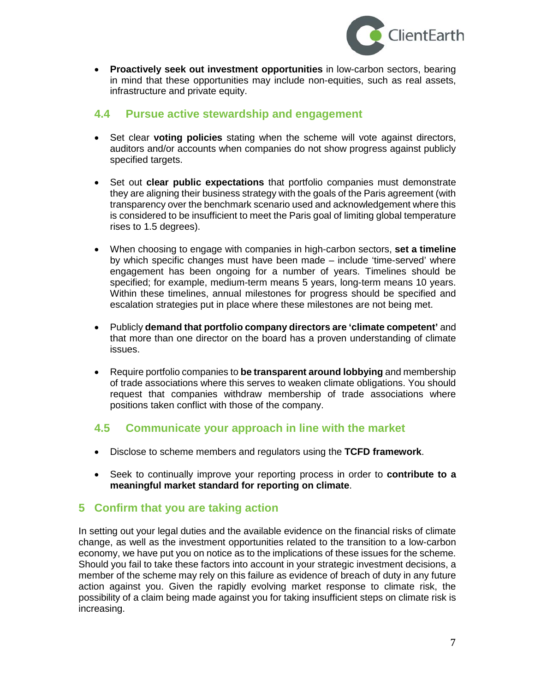

• **Proactively seek out investment opportunities** in low-carbon sectors, bearing in mind that these opportunities may include non-equities, such as real assets, infrastructure and private equity.

# **4.4 Pursue active stewardship and engagement**

- Set clear **voting policies** stating when the scheme will vote against directors, auditors and/or accounts when companies do not show progress against publicly specified targets.
- Set out **clear public expectations** that portfolio companies must demonstrate they are aligning their business strategy with the goals of the Paris agreement (with transparency over the benchmark scenario used and acknowledgement where this is considered to be insufficient to meet the Paris goal of limiting global temperature rises to 1.5 degrees).
- When choosing to engage with companies in high-carbon sectors, **set a timeline** by which specific changes must have been made – include 'time-served' where engagement has been ongoing for a number of years. Timelines should be specified; for example, medium-term means 5 years, long-term means 10 years. Within these timelines, annual milestones for progress should be specified and escalation strategies put in place where these milestones are not being met.
- Publicly **demand that portfolio company directors are 'climate competent'** and that more than one director on the board has a proven understanding of climate issues.
- Require portfolio companies to **be transparent around lobbying** and membership of trade associations where this serves to weaken climate obligations. You should request that companies withdraw membership of trade associations where positions taken conflict with those of the company.

# **4.5 Communicate your approach in line with the market**

- Disclose to scheme members and regulators using the **TCFD framework**.
- Seek to continually improve your reporting process in order to **contribute to a meaningful market standard for reporting on climate**.

# **5 Confirm that you are taking action**

In setting out your legal duties and the available evidence on the financial risks of climate change, as well as the investment opportunities related to the transition to a low-carbon economy, we have put you on notice as to the implications of these issues for the scheme. Should you fail to take these factors into account in your strategic investment decisions, a member of the scheme may rely on this failure as evidence of breach of duty in any future action against you. Given the rapidly evolving market response to climate risk, the possibility of a claim being made against you for taking insufficient steps on climate risk is increasing.